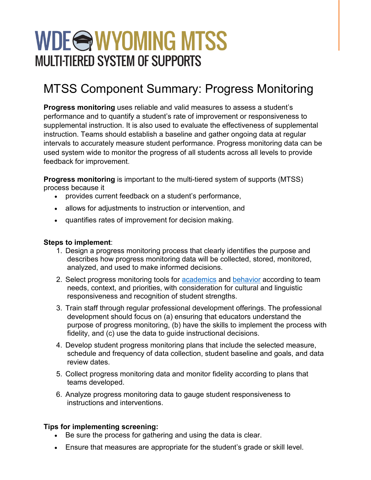## WDE@WYOMING MTSS **MULTI-TIERED SYSTEM OF SUPPORTS**

## MTSS Component Summary: Progress Monitoring

**Progress monitoring** uses reliable and valid measures to assess a student's performance and to quantify a student's rate of improvement or responsiveness to supplemental instruction. It is also used to evaluate the effectiveness of supplemental instruction. Teams should establish a baseline and gather ongoing data at regular intervals to accurately measure student performance. Progress monitoring data can be used system wide to monitor the progress of all students across all levels to provide feedback for improvement.

**Progress monitoring** is important to the multi-tiered system of supports (MTSS) process because it

- provides current feedback on a student's performance,
- allows for adjustments to instruction or intervention, and
- quantifies rates of improvement for decision making.

## **Steps to implement**:

- 1. Design a progress monitoring process that clearly identifies the purpose and describes how progress monitoring data will be collected, stored, monitored, analyzed, and used to make informed decisions.
- 2. Select progress monitoring tools for [academics](https://charts.intensiveintervention.org/aprogressmonitoring) and [behavior](https://charts.intensiveintervention.org/bprogressmonitoring) according to team needs, context, and priorities, with consideration for cultural and linguistic responsiveness and recognition of student strengths.
- 3. Train staff through regular professional development offerings. The professional development should focus on (a) ensuring that educators understand the purpose of progress monitoring, (b) have the skills to implement the process with fidelity, and (c) use the data to guide instructional decisions.
- 4. Develop student progress monitoring plans that include the selected measure, schedule and frequency of data collection, student baseline and goals, and data review dates.
- 5. Collect progress monitoring data and monitor fidelity according to plans that teams developed.
- 6. Analyze progress monitoring data to gauge student responsiveness to instructions and interventions.

## **Tips for implementing screening:**

- Be sure the process for gathering and using the data is clear.
- Ensure that measures are appropriate for the student's grade or skill level.